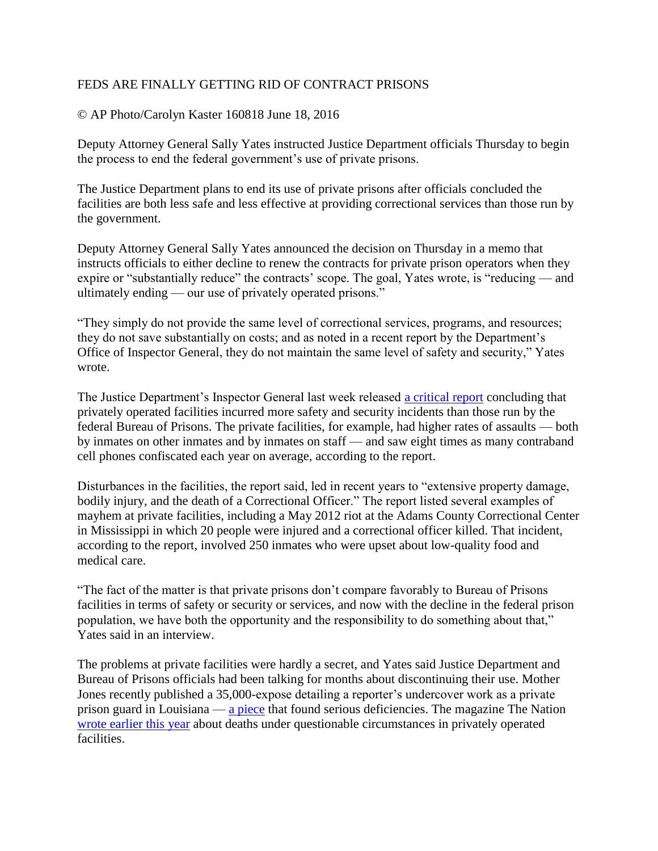## FEDS ARE FINALLY GETTING RID OF CONTRACT PRISONS

© AP Photo/Carolyn Kaster 160818 June 18, 2016

Deputy Attorney General Sally Yates instructed Justice Department officials Thursday to begin the process to end the federal government's use of private prisons.

The Justice Department plans to end its use of private prisons after officials concluded the facilities are both less safe and less effective at providing correctional services than those run by the government.

Deputy Attorney General Sally Yates announced the decision on Thursday in a memo that instructs officials to either decline to renew the contracts for private prison operators when they expire or "substantially reduce" the contracts' scope. The goal, Yates wrote, is "reducing — and ultimately ending — our use of privately operated prisons."

"They simply do not provide the same level of correctional services, programs, and resources; they do not save substantially on costs; and as noted in a recent report by the Department's Office of Inspector General, they do not maintain the same level of safety and security," Yates wrote.

The Justice Department's Inspector General last week released [a critical](https://oig.justice.gov/reports/2016/e1606.pdf#page=2) report concluding that privately operated facilities incurred more safety and security incidents than those run by the federal Bureau of Prisons. The private facilities, for example, had higher rates of assaults — both by inmates on other inmates and by inmates on staff — and saw eight times as many contraband cell phones confiscated each year on average, according to the report.

Disturbances in the facilities, the report said, led in recent years to "extensive property damage, bodily injury, and the death of a Correctional Officer." The report listed several examples of mayhem at private facilities, including a May 2012 riot at the Adams County Correctional Center in Mississippi in which 20 people were injured and a correctional officer killed. That incident, according to the report, involved 250 inmates who were upset about low-quality food and medical care.

"The fact of the matter is that private prisons don't compare favorably to Bureau of Prisons facilities in terms of safety or security or services, and now with the decline in the federal prison population, we have both the opportunity and the responsibility to do something about that," Yates said in an interview.

The problems at private facilities were hardly a secret, and Yates said Justice Department and Bureau of Prisons officials had been talking for months about discontinuing their use. Mother Jones recently published a 35,000-expose detailing a reporter's undercover work as a private prison guard in Louisiana — [a piece](http://www.motherjones.com/politics/2016/06/cca-private-prisons-corrections-corporation-inmates-investigation-bauer) that found serious deficiencies. The magazine The Nation [wrote earlier this year](https://www.thenation.com/article/privatized-immigrant-prison-deaths/) about deaths under questionable circumstances in privately operated facilities.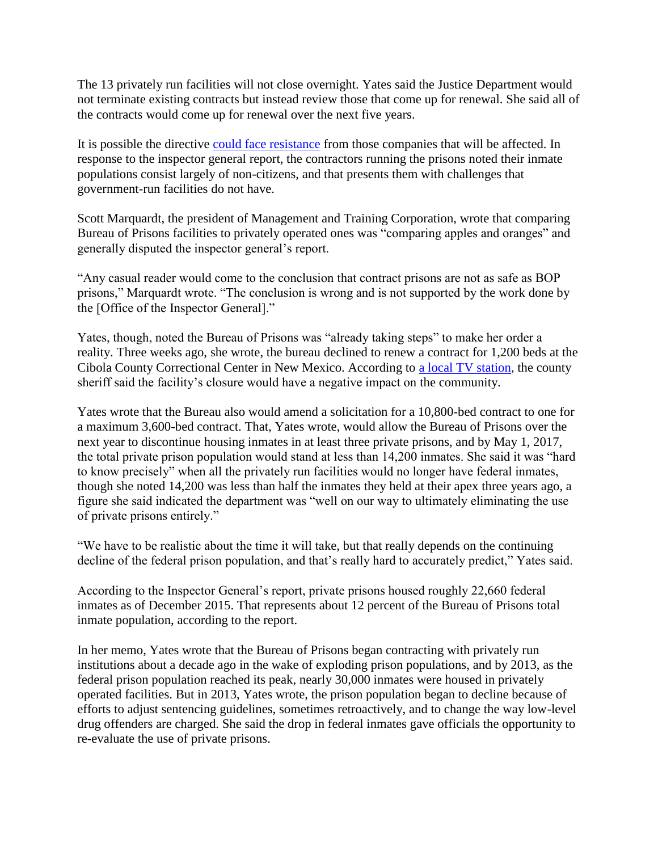The 13 privately run facilities will not close overnight. Yates said the Justice Department would not terminate existing contracts but instead review those that come up for renewal. She said all of the contracts would come up for renewal over the next five years.

It is possible the directive [could face resistance](https://www.washingtonpost.com/posteverything/wp/2015/04/28/how-for-profit-prisons-have-become-the-biggest-lobby-no-one-is-talking-about/?utm_term=.336882831cf6) from those companies that will be affected. In response to the inspector general report, the contractors running the prisons noted their inmate populations consist largely of non-citizens, and that presents them with challenges that government-run facilities do not have.

Scott Marquardt, the president of Management and Training Corporation, wrote that comparing Bureau of Prisons facilities to privately operated ones was "comparing apples and oranges" and generally disputed the inspector general's report.

"Any casual reader would come to the conclusion that contract prisons are not as safe as BOP prisons," Marquardt wrote. "The conclusion is wrong and is not supported by the work done by the [Office of the Inspector General]."

Yates, though, noted the Bureau of Prisons was "already taking steps" to make her order a reality. Three weeks ago, she wrote, the bureau declined to renew a contract for 1,200 beds at the Cibola County Correctional Center in New Mexico. According to [a local TV station,](http://www.koat.com/news/cibola-county-correctional-center-closing/41008448) the county sheriff said the facility's closure would have a negative impact on the community.

Yates wrote that the Bureau also would amend a solicitation for a 10,800-bed contract to one for a maximum 3,600-bed contract. That, Yates wrote, would allow the Bureau of Prisons over the next year to discontinue housing inmates in at least three private prisons, and by May 1, 2017, the total private prison population would stand at less than 14,200 inmates. She said it was "hard to know precisely" when all the privately run facilities would no longer have federal inmates, though she noted 14,200 was less than half the inmates they held at their apex three years ago, a figure she said indicated the department was "well on our way to ultimately eliminating the use of private prisons entirely."

"We have to be realistic about the time it will take, but that really depends on the continuing decline of the federal prison population, and that's really hard to accurately predict," Yates said.

According to the Inspector General's report, private prisons housed roughly 22,660 federal inmates as of December 2015. That represents about 12 percent of the Bureau of Prisons total inmate population, according to the report.

In her memo, Yates wrote that the Bureau of Prisons began contracting with privately run institutions about a decade ago in the wake of exploding prison populations, and by 2013, as the federal prison population reached its peak, nearly 30,000 inmates were housed in privately operated facilities. But in 2013, Yates wrote, the prison population began to decline because of efforts to adjust sentencing guidelines, sometimes retroactively, and to change the way low-level drug offenders are charged. She said the drop in federal inmates gave officials the opportunity to re-evaluate the use of private prisons.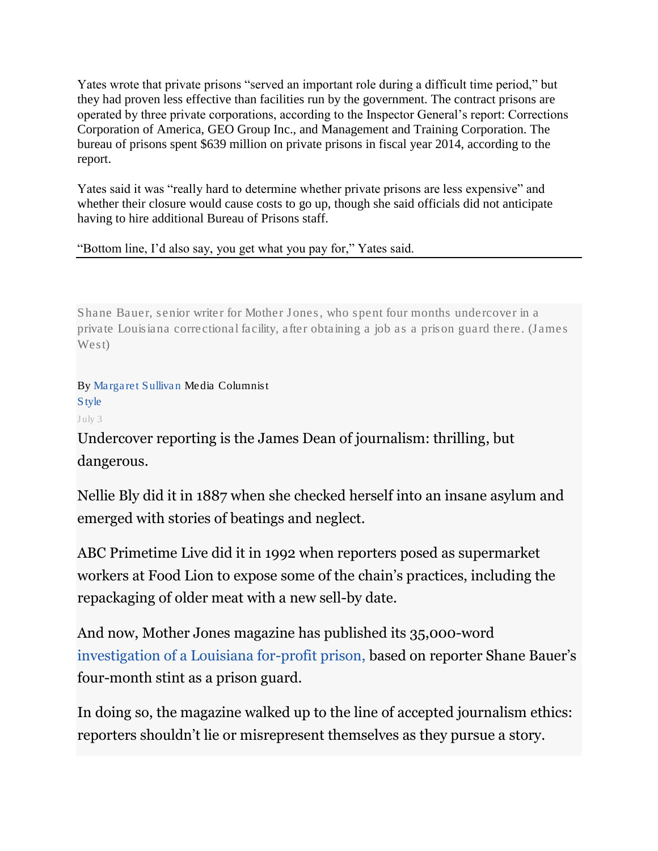Yates wrote that private prisons "served an important role during a difficult time period," but they had proven less effective than facilities run by the government. The contract prisons are operated by three private corporations, according to the Inspector General's report: Corrections Corporation of America, GEO Group Inc., and Management and Training Corporation. The bureau of prisons spent \$639 million on private prisons in fiscal year 2014, according to the report.

Yates said it was "really hard to determine whether private prisons are less expensive" and whether their closure would cause costs to go up, though she said officials did not anticipate having to hire additional Bureau of Prisons staff.

"Bottom line, I'd also say, you get what you pay for," Yates said.

Shane Bauer, senior writer for Mother Jones, who spent four months undercover in a private Louisiana correctional facility, after obtaining a job as a prison guard there. (James West)

By [Margaret Sullivan](http://www.washingtonpost.com/people/margaret-sullivan) Media Columnist **[Style](https://www.washingtonpost.com/lifestyle/style)** 

July 3

Undercover reporting is the James Dean of journalism: thrilling, but dangerous.

Nellie Bly did it in 1887 when she checked herself into an insane asylum and emerged with stories of beatings and neglect.

ABC Primetime Live did it in 1992 when reporters posed as supermarket workers at Food Lion to expose some of the chain's practices, including the repackaging of older meat with a new sell-by date.

And now, Mother Jones magazine has published its 35,000-wor[d](http://www.motherjones.com/politics/2016/06/cca-executive-summary) [investigation of a Louisiana for-profit prison,](http://www.motherjones.com/politics/2016/06/cca-executive-summary) based on reporter Shane Bauer's four-month stint as a prison guard.

In doing so, the magazine walked up to the line of accepted journalism ethics: reporters shouldn't lie or misrepresent themselves as they pursue a story.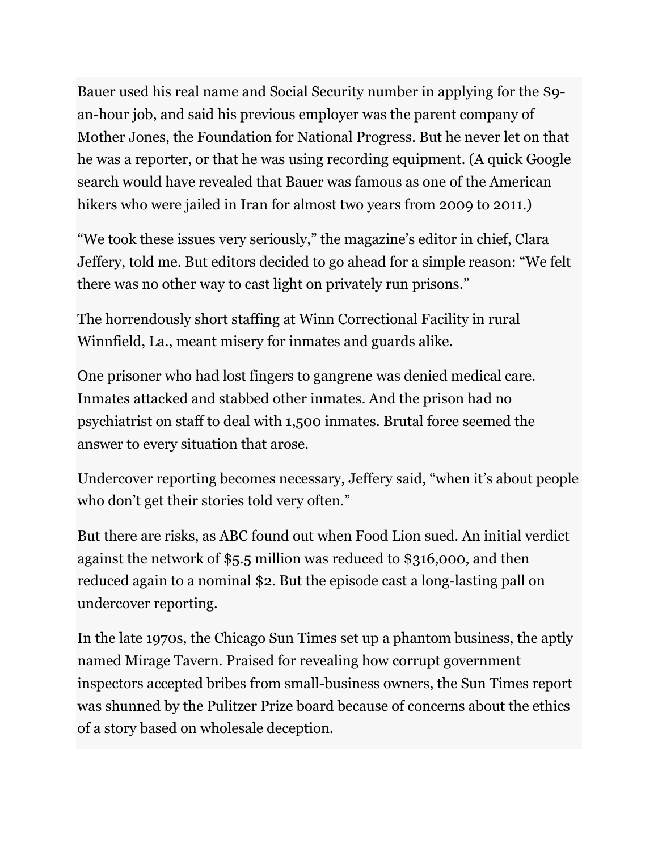Bauer used his real name and Social Security number in applying for the \$9 an-hour job, and said his previous employer was the parent company of Mother Jones, the Foundation for National Progress. But he never let on that he was a reporter, or that he was using recording equipment. (A quick Google search would have revealed that Bauer was famous as one of the American hikers who were jailed in Iran for almost two years from 2009 to 2011.)

"We took these issues very seriously," the magazine's editor in chief, Clara Jeffery, told me. But editors decided to go ahead for a simple reason: "We felt there was no other way to cast light on privately run prisons."

The horrendously short staffing at Winn Correctional Facility in rural Winnfield, La., meant misery for inmates and guards alike.

One prisoner who had lost fingers to gangrene was denied medical care. Inmates attacked and stabbed other inmates. And the prison had no psychiatrist on staff to deal with 1,500 inmates. Brutal force seemed the answer to every situation that arose.

Undercover reporting becomes necessary, Jeffery said, "when it's about people who don't get their stories told very often."

But there are risks, as ABC found out when Food Lion sued. An initial verdict against the network of \$5.5 million was reduced to \$316,000, and then reduced again to a nominal \$2. But the episode cast a long-lasting pall on undercover reporting.

In the late 1970s, the Chicago Sun Times set up a phantom business, the aptly named Mirage Tavern. Praised for revealing how corrupt government inspectors accepted bribes from small-business owners, the Sun Times report was shunned by the Pulitzer Prize board because of concerns about the ethics of a story based on wholesale deception.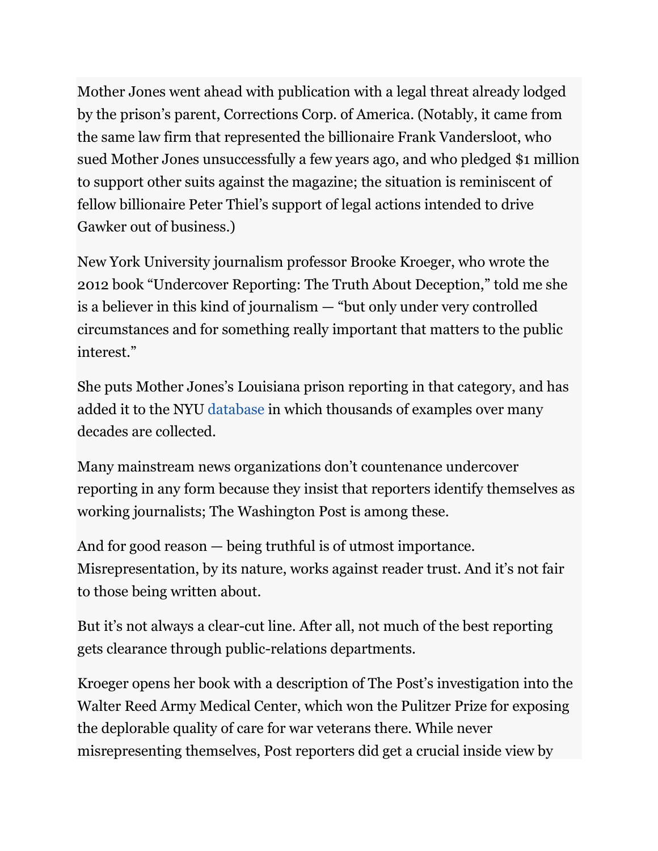Mother Jones went ahead with publication with a legal threat already lodged by the prison's parent, Corrections Corp. of America. (Notably, it came from the same law firm that represented the billionaire Frank Vandersloot, who sued Mother Jones unsuccessfully a few years ago, and who pledged \$1 million to support other suits against the magazine; the situation is reminiscent of fellow billionaire Peter Thiel's support of legal actions intended to drive Gawker out of business.)

New York University journalism professor Brooke Kroeger, who wrote the 2012 book "Undercover Reporting: The Truth About Deception," told me she is a believer in this kind of journalism — "but only under very controlled circumstances and for something really important that matters to the public interest."

She puts Mother Jones's Louisiana prison reporting in that category, and has added it to the NYU [database i](http://dlib.nyu.edu/undercover/)n which thousands of examples over many decades are collected.

Many mainstream news organizations don't countenance undercover reporting in any form because they insist that reporters identify themselves as working journalists; The Washington Post is among these.

And for good reason — being truthful is of utmost importance. Misrepresentation, by its nature, works against reader trust. And it's not fair to those being written about.

But it's not always a clear-cut line. After all, not much of the best reporting gets clearance through public-relations departments.

Kroeger opens her book with a description of The Post's investigation into the Walter Reed Army Medical Center, which won the Pulitzer Prize for exposing the deplorable quality of care for war veterans there. While never misrepresenting themselves, Post reporters did get a crucial inside view by